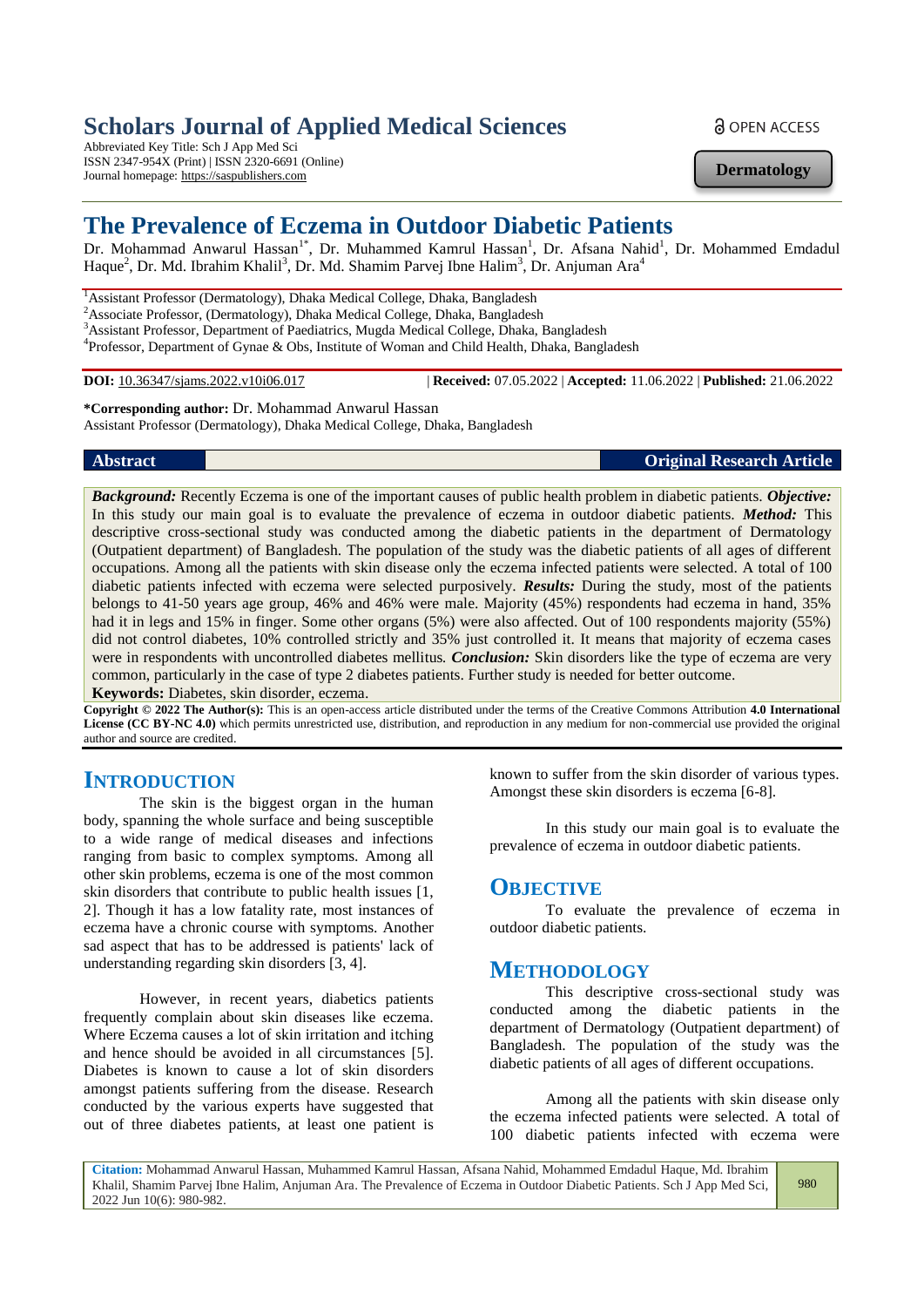# **Scholars Journal of Applied Medical Sciences**

Abbreviated Key Title: Sch J App Med Sci ISSN 2347-954X (Print) | ISSN 2320-6691 (Online) Journal homepage: https://saspublishers.com

a OPEN ACCESS

**Dermatology**

# **The Prevalence of Eczema in Outdoor Diabetic Patients**

Dr. Mohammad Anwarul Hassan<sup>1\*</sup>, Dr. Muhammed Kamrul Hassan<sup>1</sup>, Dr. Afsana Nahid<sup>1</sup>, Dr. Mohammed Emdadul Haque<sup>2</sup>, Dr. Md. Ibrahim Khalil<sup>3</sup>, Dr. Md. Shamim Parvej Ibne Halim<sup>3</sup>, Dr. Anjuman Ara<sup>4</sup>

<sup>1</sup> Assistant Professor (Dermatology), Dhaka Medical College, Dhaka, Bangladesh <sup>2</sup>Associate Professor, (Dermatology), Dhaka Medical College, Dhaka, Bangladesh

3<br>Assistant Professor, Department of Paediatrics, Mugda Medical College, Dhaka, Bangladesh

<sup>4</sup>Professor, Department of Gynae & Obs, Institute of Woman and Child Health, Dhaka, Bangladesh

**DOI:** 10.36347/sjams.2022.v10i06.017 | **Received:** 07.05.2022 | **Accepted:** 11.06.2022 | **Published:** 21.06.2022

**\*Corresponding author:** Dr. Mohammad Anwarul Hassan Assistant Professor (Dermatology), Dhaka Medical College, Dhaka, Bangladesh

**Abstract Original Research Article**

*Background:* Recently Eczema is one of the important causes of public health problem in diabetic patients. *Objective:* In this study our main goal is to evaluate the prevalence of eczema in outdoor diabetic patients. *Method:* This descriptive cross-sectional study was conducted among the diabetic patients in the department of Dermatology (Outpatient department) of Bangladesh. The population of the study was the diabetic patients of all ages of different occupations. Among all the patients with skin disease only the eczema infected patients were selected. A total of 100 diabetic patients infected with eczema were selected purposively. *Results:* During the study, most of the patients belongs to 41-50 years age group, 46% and 46% were male. Majority (45%) respondents had eczema in hand, 35% had it in legs and 15% in finger. Some other organs (5%) were also affected. Out of 100 respondents majority (55%) did not control diabetes, 10% controlled strictly and 35% just controlled it. It means that majority of eczema cases were in respondents with uncontrolled diabetes mellitus*. Conclusion:* Skin disorders like the type of eczema are very common, particularly in the case of type 2 diabetes patients. Further study is needed for better outcome.

**Keywords:** Diabetes, skin disorder, eczema.

**Copyright © 2022 The Author(s):** This is an open-access article distributed under the terms of the Creative Commons Attribution **4.0 International License (CC BY-NC 4.0)** which permits unrestricted use, distribution, and reproduction in any medium for non-commercial use provided the original author and source are credited.

## **INTRODUCTION**

The skin is the biggest organ in the human body, spanning the whole surface and being susceptible to a wide range of medical diseases and infections ranging from basic to complex symptoms. Among all other skin problems, eczema is one of the most common skin disorders that contribute to public health issues [1, 2]. Though it has a low fatality rate, most instances of eczema have a chronic course with symptoms. Another sad aspect that has to be addressed is patients' lack of understanding regarding skin disorders [3, 4].

However, in recent years, diabetics patients frequently complain about skin diseases like eczema. Where Eczema causes a lot of skin irritation and itching and hence should be avoided in all circumstances [5]. Diabetes is known to cause a lot of skin disorders amongst patients suffering from the disease. Research conducted by the various experts have suggested that out of three diabetes patients, at least one patient is known to suffer from the skin disorder of various types. Amongst these skin disorders is eczema [6-8].

In this study our main goal is to evaluate the prevalence of eczema in outdoor diabetic patients.

## **OBJECTIVE**

To evaluate the prevalence of eczema in outdoor diabetic patients.

## **METHODOLOGY**

This descriptive cross-sectional study was conducted among the diabetic patients in the department of Dermatology (Outpatient department) of Bangladesh. The population of the study was the diabetic patients of all ages of different occupations.

Among all the patients with skin disease only the eczema infected patients were selected. A total of 100 diabetic patients infected with eczema were

**Citation:** Mohammad Anwarul Hassan, Muhammed Kamrul Hassan, Afsana Nahid, Mohammed Emdadul Haque, Md. Ibrahim Khalil, Shamim Parvej Ibne Halim, Anjuman Ara. The Prevalence of Eczema in Outdoor Diabetic Patients. Sch J App Med Sci, 2022 Jun 10(6): 980-982. 980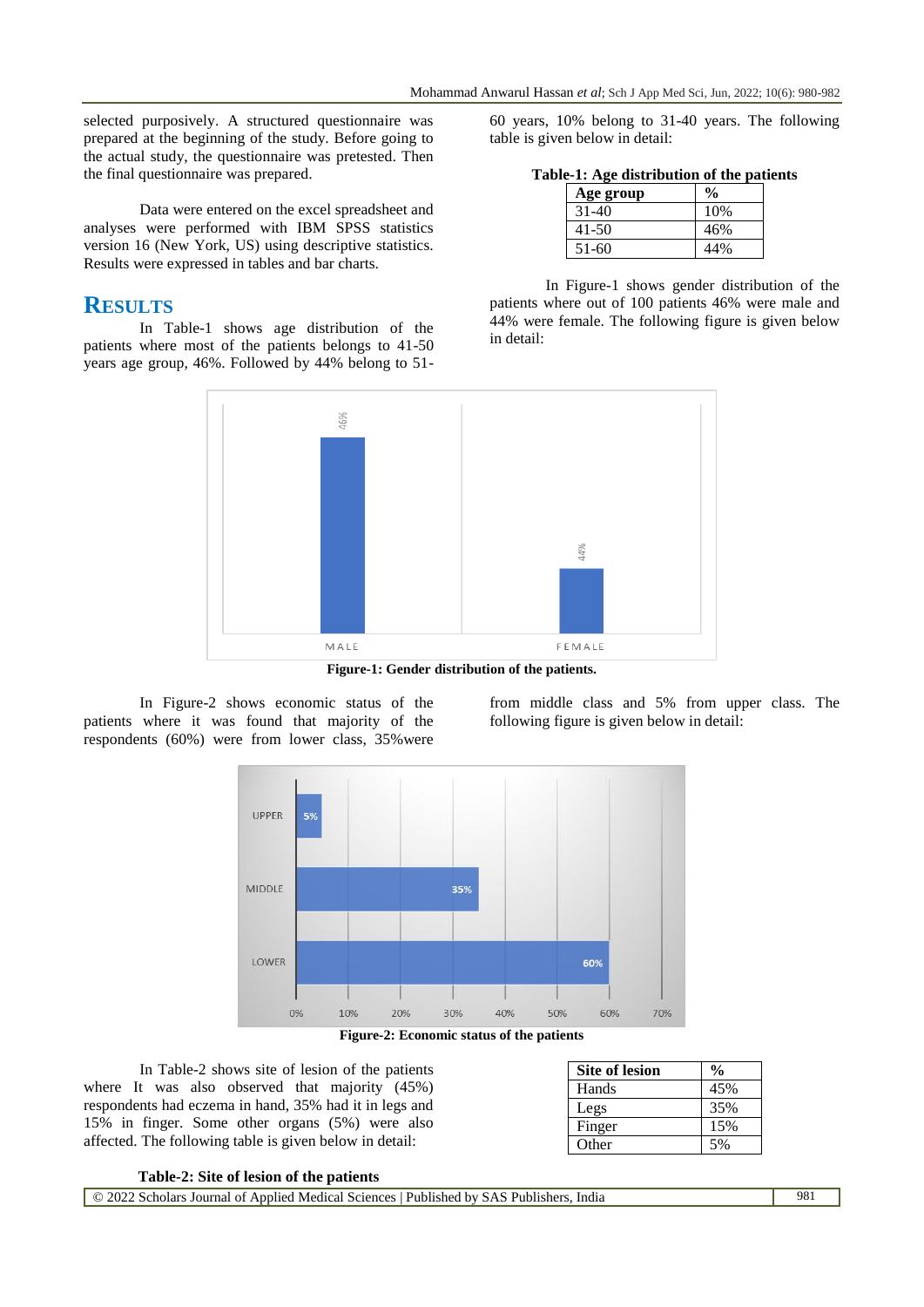selected purposively. A structured questionnaire was prepared at the beginning of the study. Before going to the actual study, the questionnaire was pretested. Then the final questionnaire was prepared.

Data were entered on the excel spreadsheet and analyses were performed with IBM SPSS statistics version 16 (New York, US) using descriptive statistics. Results were expressed in tables and bar charts.

## **RESULTS**

In Table-1 shows age distribution of the patients where most of the patients belongs to 41-50 years age group, 46%. Followed by 44% belong to 5160 years, 10% belong to 31-40 years. The following table is given below in detail:

**Table-1: Age distribution of the patients**

| Age group | $\frac{6}{6}$ |
|-----------|---------------|
| 31-40     | 10%           |
| 41-50     | 46%           |
| 51-60     | 44%           |

In Figure-1 shows gender distribution of the patients where out of 100 patients 46% were male and 44% were female. The following figure is given below in detail:



**Figure-1: Gender distribution of the patients.**

In Figure-2 shows economic status of the patients where it was found that majority of the respondents (60%) were from lower class, 35%were from middle class and 5% from upper class. The following figure is given below in detail:



**Figure-2: Economic status of the patients**

In Table-2 shows site of lesion of the patients where It was also observed that majority (45%) respondents had eczema in hand, 35% had it in legs and 15% in finger. Some other organs (5%) were also affected. The following table is given below in detail:

| <b>Site of lesion</b> | $\frac{0}{0}$ |
|-----------------------|---------------|
| Hands                 | 45%           |
| Legs                  | 35%           |
| Finger                | 15%           |
| Other                 | 50/           |

| Table-2: Site of lesion of the patients |  |  |  |  |  |  |
|-----------------------------------------|--|--|--|--|--|--|
|-----------------------------------------|--|--|--|--|--|--|

| $\circ$ 2022 Scholars Journal of Applied Medical Sciences   Published by SAS Publishers, India | 981 |
|------------------------------------------------------------------------------------------------|-----|
|------------------------------------------------------------------------------------------------|-----|